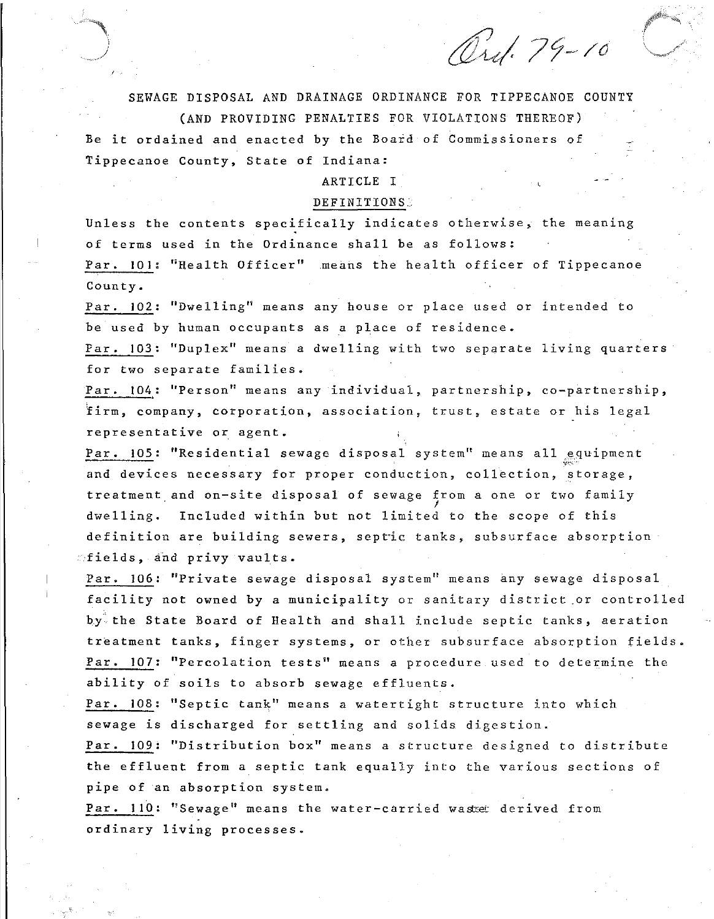*Ord.* 79-10

SEWAGE DISPOSAL AND DRAINAGE ORDINANCE FOR TIPPECANOE COUNTY (AND PROVIDING PENALTIES FOR VIOLATIONS THEREOF) Be it ordained and enacted by the Board of Commissioners of

ARTICLE I

Tippecanoe County, State of Indiana:

### DEFINITIONS.

Unless the contents specifically indicates otherwise, the meaning of terms used in the Ordinance shall be as follows: Par. 101: "Health Officer" means the health officer of Tippecanoe County.

Par. 102: ''Dwelling'' means any house or place used or intended to be used by human occupants as a place of residence.

Far. 103: ''Duplex'' means a dwelling with two separate living quarters for two separate families.

Par. 104: "Person" means any individual, partnership, co-partnership, firm, company, corporation, association, trust, estate or his legal **representative or agent.** 

Par. 105: "Residential sewage disposal system" means all equipment '<"<"-' and devices necessary for proper conduction, collection, storage, treatment and on-site disposal of sewage from a one or two family dwelling. Included within but not limited to the scope of this definition are building sewers, sepric tanks, subsurface absorption  $\circ$ fields, and privy vaults.

Par. 106: ''Private sewage disposal system'' means any sewage disposal facility not owned by a municipality or sanitary district or controlled by the State Board of Health and shall include septic tanks, aeration treatment tanks, finger systems, or other subsurface absorption fields. Par. 107: "Percolation tests'' means a procedure used to determine the ability of soils to absorb sewage effluents.

Par. 108: ''Septic tank'' means a watertight structure into which sewage is discharged for settling and solids digestion.

Par. 109: "Distribution box'' means a structure designed to distribute the effluent from a septic tank equally into the various sections of pipe of an absorption system.

Par. 110: "Sewage" means the water-carried wastet derived from ordinary living processes.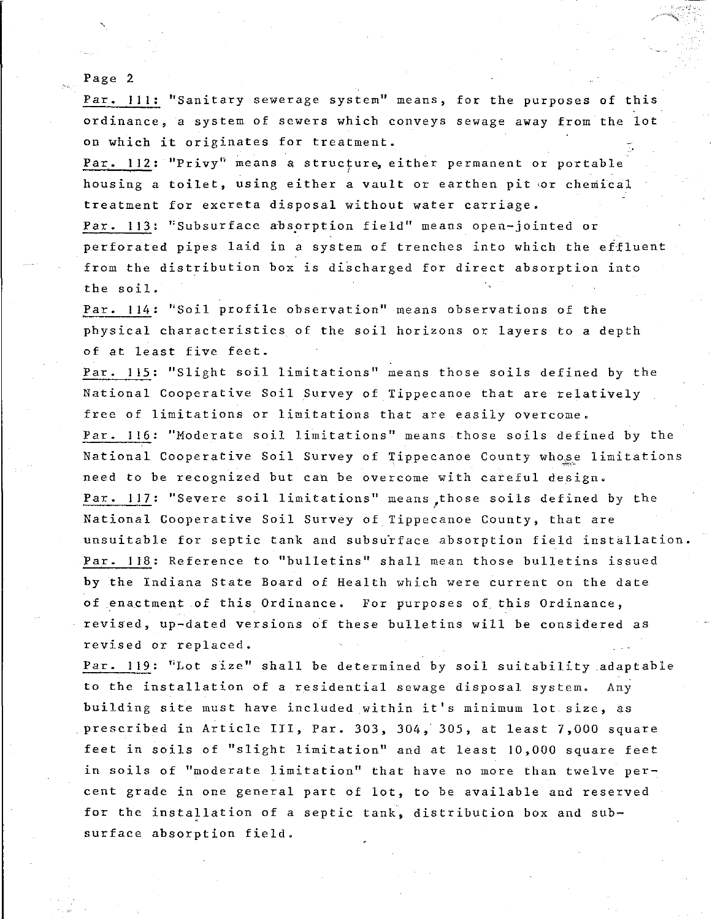Par. **Ill:** ''Sanitary sewerage system'' means, for the purposes of this ordinance, a system of sewers which conveys sewage away from the lot on which it originates for treatment.

·\_-•j ....<br>1944 - 1940<br>1944 - 1940

Par. 112: "Privy" means a structure, either permanent or portable ' housing a toilet, using either a vault or earthen pit 'Or chemical treatment for excreta disposal without water carriage.

Par. 113: "Subsurface absorption field" means open-jointed or perforated pipes laid in a system of trenches into which the effluent from the distribution box is discharged for direct absorption into the soil.

Par. 114: ''Soil profile observation'' means observations of the physical characteristics of the soil horizons or layers to a depth of at least five feet.

Par. 115: "Slight soil limitations" means those soils defined by the National Cooperative Soil Survey of Tippecanoe that are relatively free of limitations or limitations that are easily overcome. Par. 116: "Moderate soil limitations" means those soils defined by the National Cooperative Soil Survey of Tippecanoe County whose limitations need to be recognized but can be overcome with careful design. Par. 117: "Severe soil limitations" means those soils defined by the National Cooperative Soil Survey of Tippecanoe County, that are unsuitable for septic tank and subsurface absorption field installation. Par. 118: Reference to "bulletins'' shall mean those bulletins issued by the Indiana State Board of Health which were current on the date of enactment of this Ordinance. For purposes of this Ordinance, revised, up-dated versions of these bulletins will be considered as revised or replaced.

Par. 119: ''Lot size'' shall be determined by soil suitability adaptable to the installation of a residential sewage disposal system. Any building site must have included within it's minimum lot size, as prescribed in Article III, Par. 303, 304, 305, at least 7,000 square feet in soils of ''slight limitation'' and at least 10,000 square feet **in soils of ''moderate limitation'' that have no more than twelve per**cent grade in one general part of lot, to be available and reserved for the installation of a septic tank, distribution box and subsurface absorption field.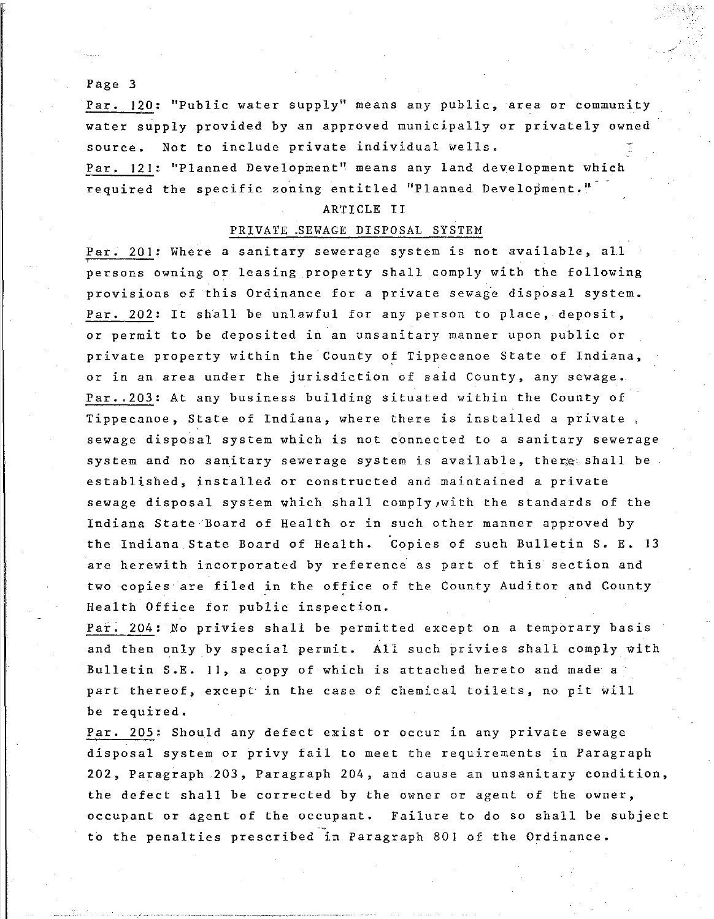Par. 120: ''Public water supply'' means any public, area or community water supply provided by an approved municipally or privately owned source. Not to include private individual wells.

Par. 121: ''Planned Development'' means any land development which required the specific zoning entitled "Planned Development."

### ARTICLE II

# PRIVATE .SEWAGE DISPOSAL SYSTEM

Par. 201: Where a sanitary sewerage system is not available, all persons owning or leasing property shall comply with the following provisions of this Ordinance for a private sewage disposal system. Par. 202: It shall be unlawful for any person to place, deposit, or permit to be deposited in an unsanitary manner upon public or private property within the County of Tippecanoe State of Indiana, or in an area under the jurisdiction of said County, any sewage. Par •. 203: At any business building situated within the County of Tippecanoe, State of Indiana, where there is installed a private , sewage disposal system which is not connected to a sanitary sewerage system and no sanitary sewerage system is available, there shall be established, installed or constructed and maintained a private sewage disposal system which shall comply, with the standards of the Indiana State Board of Health or in such other manner approved by the Indiana State Board of Health. Copies of such Bulletin S. E. 13 are herewith incorporated by reference as part of this section and two copies are filed in the office of the County Auditor and County Health Office for public inspection.

Par. 204: No privies shall be permitted except on a temporary basis and then only by special permit. All such privies shall comply with Bulletin S.E. 11, a copy of which is attached hereto and made a part thereof, except in the case of chemical toilets, no pit will be required.

Par. 205: Should any defect exist or occur in any private sewage disposal system or privy fail to meet the requirements in Paragraph 202, Paragraph 203, Paragraph 204, and cause an unsanitary condition, the defect shall be corrected by the owner or agent of the owner, occupant or agent of the occupant. Failure to do so shall be subject to the penalties prescribed in Paragraph 801 of the Ordinance.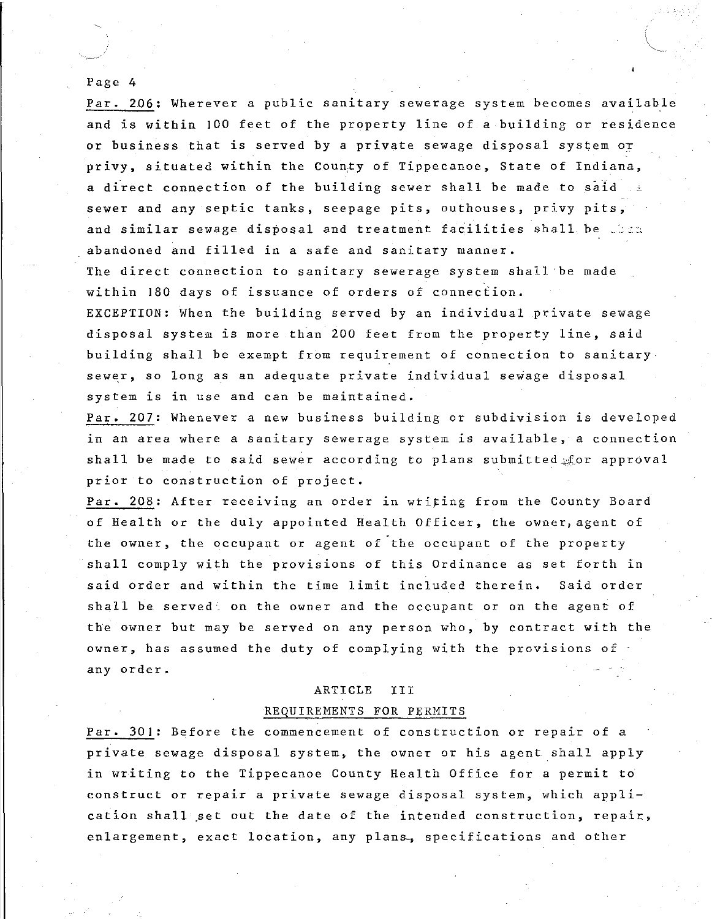Par. 206: Wherever a public sanitary sewerage system becomes available and is within JOO feet of the property line of a building or residence or business that is served by a private sewage disposal system or privy, situated within the County of Tippecanoe, State of Indiana, a direct connection of the building sewer shall be made to said sewer and any septic tanks, seepage pits, outhouses, privy pits, and similar sewage disposal and treatment facilities shall be when abandoned and filled in a safe and sanitary manner.

The direct connection to sanitary sewerage system shall be made within 180 days of issuance of orders of connection.

EXCEPTION: When the building served by an individual private sewage disposal system is more than 200 feet from the property line, said building shall be exempt from requirement of connection to sanitary sewer, so long as an adequate private individual sewage disposal **system is in use and can be maintained.** 

Par. 207: Whenever a new business building or subdivision is developed **in an area where a sanitary sewerage system is available, a connection**  shall be made to said sewer according to plans submitted  $\text{for}$  approval prior to construction of project.

Par. 208: After receiving an order in writing from the County Board of Health or the duly appointed Health Officer, the owner, agent of the owner, the occupant or agent of the occupant of the property shall comply with the provisions of this Ordinance as set forth in said order and within the time limit included therein. Said order shall be served on the owner and the occupant or on the agent of the owner but may be served on any person who, by contract with the owner, has assumed the duty of complying with the provisions of . any order.

# ARTICLE III REQUIREMENTS FOR PERMITS

Par. 301: Before the commencement of construction or repair of a private sewage disposal system, the owner or his agent shall apply in writing to the Tippecanoe County Health Office for a permit to construct or repair a private sewage disposal system, which application shall set out the date of the intended construction, repair, enlargement, exact location, any plans, specifications and other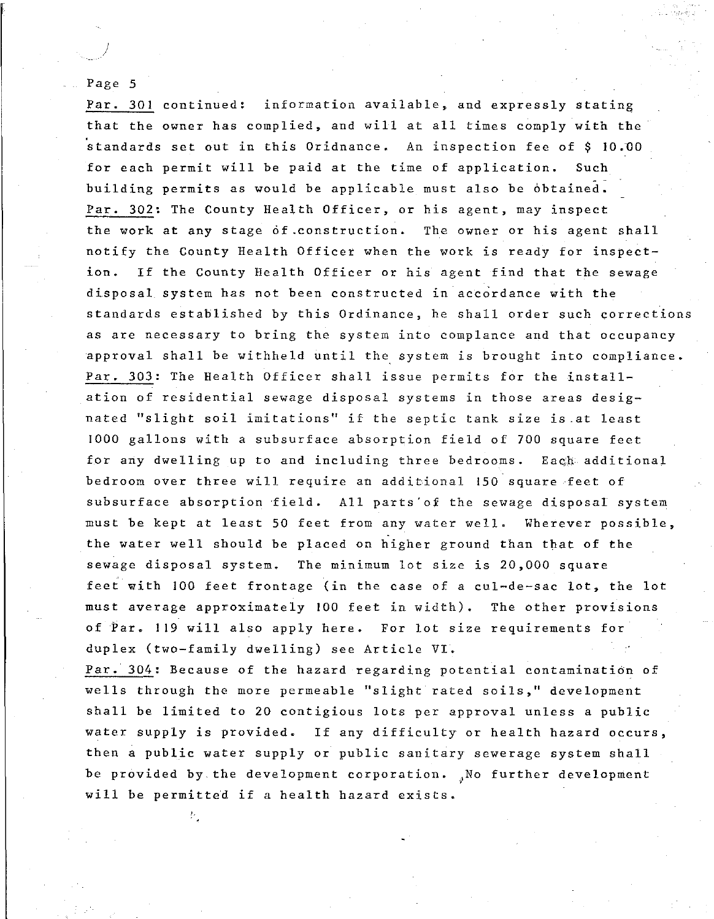*)* 

Par. 301 continued: information available, and expressly stating that the owner has complied, and will at all times comply with the standards set out in this Oridnance. An inspection fee of \$ 10.UO for each permit will be paid at the time of application. Such building permits as would be applicable must also be obtained. Par. 302: The County Health Officer, or his agent, may inspect the work at any stage of.construction. The owner or his agent shall notify the County Health Officer when the work is ready for inspect**ion.** If the County Health Officer or his agent find that the sewage disposal system has not been constructed in accordance with the standards established by this Ordinance, he shall order such corrections as are necessary to bring the system into complance and that occupancy approval shall be withheld until the system is brought into compliance. Par. 303: The Health Officer shall issue permits for the installation of residential sewage disposal systems in those areas designated ''slight soil imitations'' if the septic tank size is .at least 1000 gallons with a subsurface absorption field of 700 square feet for any dwelling up to and including three bedrooms. Each additional bedroom over three will require an additional 150 square feet of subsurface absorption field. All parts'of the sewage disposal system must be kept at least 50 feet from any water well. Wherever possible, the water well should be placed on higher ground than that of the sewage disposal system. The minimum lot size is 20,000 square feet with 100 feet frontage (in the case of a cul-de-sac lot, the lot must average approximately 100 feet in width). The other provisions of Par. **119** will also apply here. For lot size requirements for duplex (two-family dwelling) see Article VI.

Par. 304: Because of the hazard regarding potential contamination of wells through the more permeable "slight rated soils," development shall be limited to 20 contigious lots per approval unless a public water supply is provided. If any difficulty or health hazard occurs, then a public water supply or public sanitary sewerage system shall be provided by the development corporation. No further development will be permitted if a health hazard exists.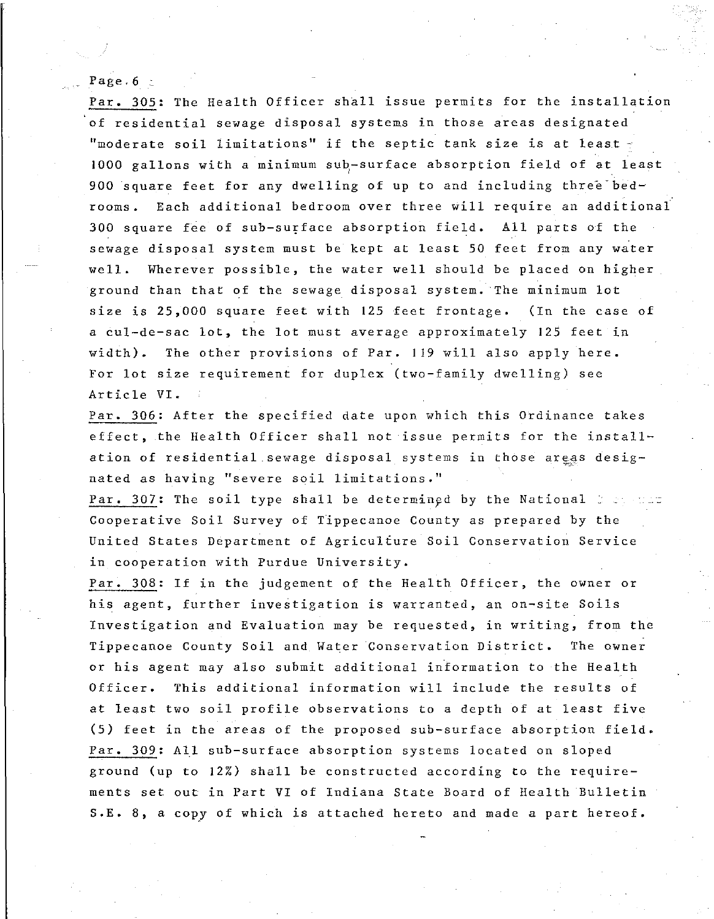### Page  $6<sub>c</sub>$

Par. 305: The Health Officer shall issue permits for the installation of residential sewage disposal systems in those areas designated "moderate soil limitations" if the septic tank size is at least  $\tau$ 1000 gallons with a minimum sub-surface absorption field of at least 900 square feet for any dwelling of up to and including three bedrooms. Each additional bedroom over three will require an additional 300 square fee of sub-surface absorption field. All parts of the sewage disposal system must be kept at least 50 feet from any water well. Wherever possible, the water well should be placed on higher ground than that of the sewage disposal system. The minimum lot size is 25,000 square feet with 125 feet frontage. (In the case of a cul-de-sac lot, the lot must average approximately 125 feet in width). The other provisions of Par. 119 will also apply here. For lot size requirement for duplex (two-family dwelling) see Article VI.

Par. 306: After the specified date upon which this Ordinance takes effect, the Health Officer shall not issue permits for the installation of residential sewage disposal systems in those areas desig**nated as having "severe soil limitations."** 

Par. 307: The soil type shall be determined by the National  $z \geq 0$ Cooperative Soil Survey of Tippecanoe County as prepared by the United States Department of Agriculfure Soil Conservation Service in cooperation with Purdue University.

Par. 308: If in the judgement of the Health Officer, the owner or his agent, further investigation is warranted, an on-site Soils Investigation and Evaluation may be requested, in writing, from the Tippecanoe County Soil and Water Conservation District. **The owner**  or his agent may also submit additional information to the Health Officer. This additional information will include the results of at least two soil profile observations to a depth of at least five (5) feet in the areas of the proposed sub-surface absorption field. Par. 309: All sub-surface absorption systems located on sloped ground (up to 12%) shall be constructed according to the requirements set out in Part VI of Indiana State Board of Health Bulletin S.E. 8, a copy of which is attached hereto and made a part hereof.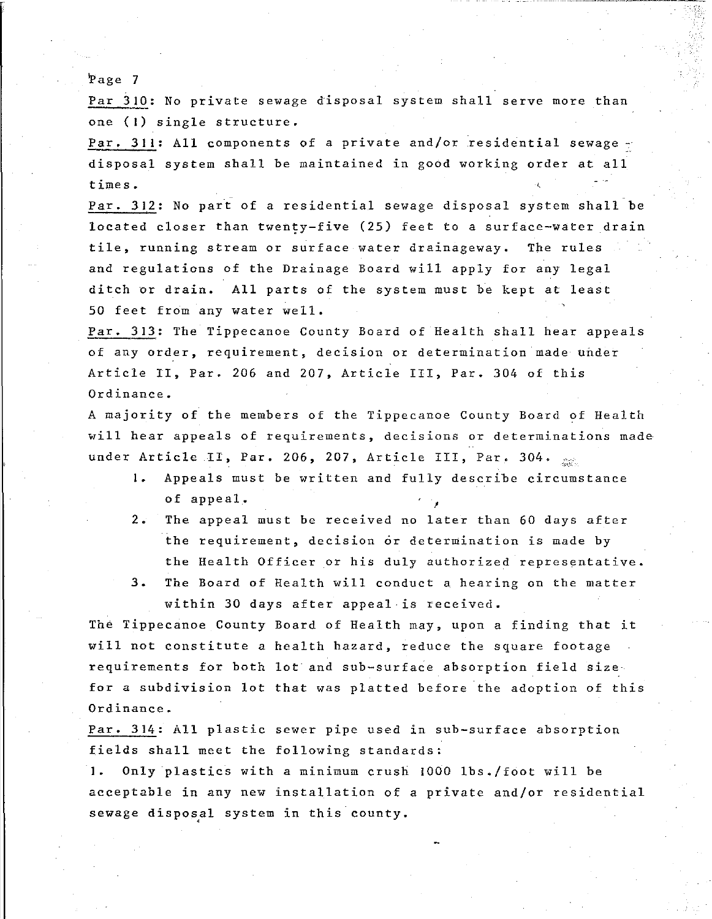Par 310: No private sewage disposal system shall serve more than one **(1)** single structure.

Par. 311: All components of a private and/or residential sewage disposal system shall be maintained in good working order at all times.

Par. 312: No part of a residential sewage disposal system shall be located closer than twenty-five (25) feet to a surface-water drain **tile, running stream or surface water drainageway.** The rules and regulations of the Drainage Board will apply for any legal ditch or drain. All parts of the system must be kept at least 50 feet from any water well.

Par. 313: The Tippecanoe County Board of Health shall hear appeals of any order, requirement, decision or determination made under Article II, Par. 206 and 207, Article III, Par. 304 of this Ordinance.

A majority of the members of the Tippecanoe County Board of Health will hear appeals of requirements, decisions or determinations made under Article II, Par. 206, 207, Article III, Par. 304.  $\frac{1}{\sqrt{30}}$ 

- **1.** Appeals must be written and fully describe circumstance of appeal.<br>2. The appeal must be received no later than 60 days after
- the requirement, decision or determination is made by the Health Officer or his duly authorized representative.
- 3. The Board of Health will conduct a hearing on the matter within 30 days after appeal is received.

The Tippecanoe County Board of Health may, upon a finding that it will not constitute a health hazard, reduce the square footage. requirements for both lot and sub-surface absorption field size for a subdivision lot that was platted before the adoption of this Ordinance.

Par. 314: All plastic sewer pipe used in sub-surface absorption fields shall meet the following standards:

**1.** Only plastics with a minimum crush !000 lbs./foot will be acceptable in any new installation of a private and/or residential sewage disposal system in this county.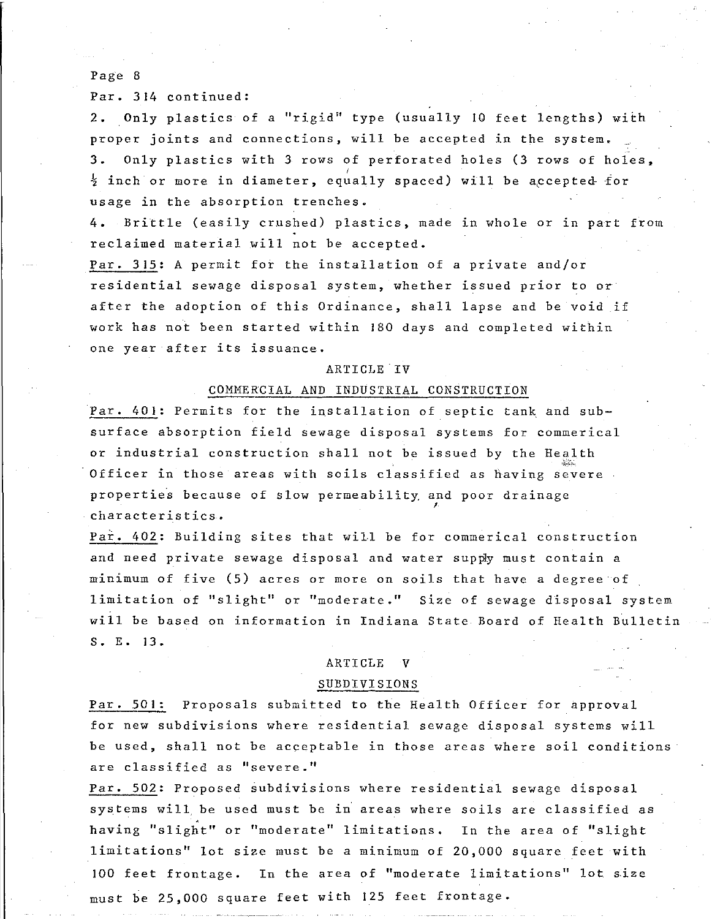Par. 314 continued:

2. Only plastics of a "rigid" type (usually 10 feet lengths) with proper joints and connections, will be accepted in the system. 3. Only plastics with 3 rows of perforated holes (3 rows of holes,  $\frac{1}{2}$  inch or more in diameter, equally spaced) will be accepted for usage in the absorption trenches.

4. Brittle (easily crushed) plastics, made in whole or in part from reclaimed material will not be accepted.

Par. 315: A permit for the installation of a private and/or residential sewage disposal system, whether issued prior to or after the adoption of this Ordinance, shall lapse and be void if work has not been started within 180 days and completed within **one year after its issuance.** 

#### ARTICLE.IV

# COMMERCIAL AND INDUSTRIAL CONSTRUCTION

Par. 401: Permits for the installation of septic tank and subsurface absorption field sewage disposal systems for commerical or industrial construction shall not be issued by the Health  $1,5,7,7,7,1$ Officer in those areas with soils classified as having severe properties because of slow permeability and poor drainage ' **characteristics.** 

Pai. 402: Building sites that will be for commerical construction and need private sewage disposal and water supply must contain a minimum of five (5) acres or more on soils that have a degree of limitation of ''slight'' or ''moderate." Size of sewage disposal system will be based on information in Indiana State Board of Health Bulletin S. E. 13.

## ARTICLE V

#### SUBDIVISIONS

Par. 501: Proposals submitted to the Health Officer for approval for new subdivisions where residential sewage disposal systems will be used, shall not be acceptable in those areas where soil conditions **are classified as 11 severe."** 

Par. 502: Proposed subdivisions where residential sewage disposal systems will. be used must be in areas where soils are classified as having "slight" or "moderate" limitations. In the area of "slight limitations" lot size must be a minimum of 20,000 square feet with JOO feet frontage. In the area of ''moderate limitations'' lot size must be 25,000 square feet with 125 feet frontage.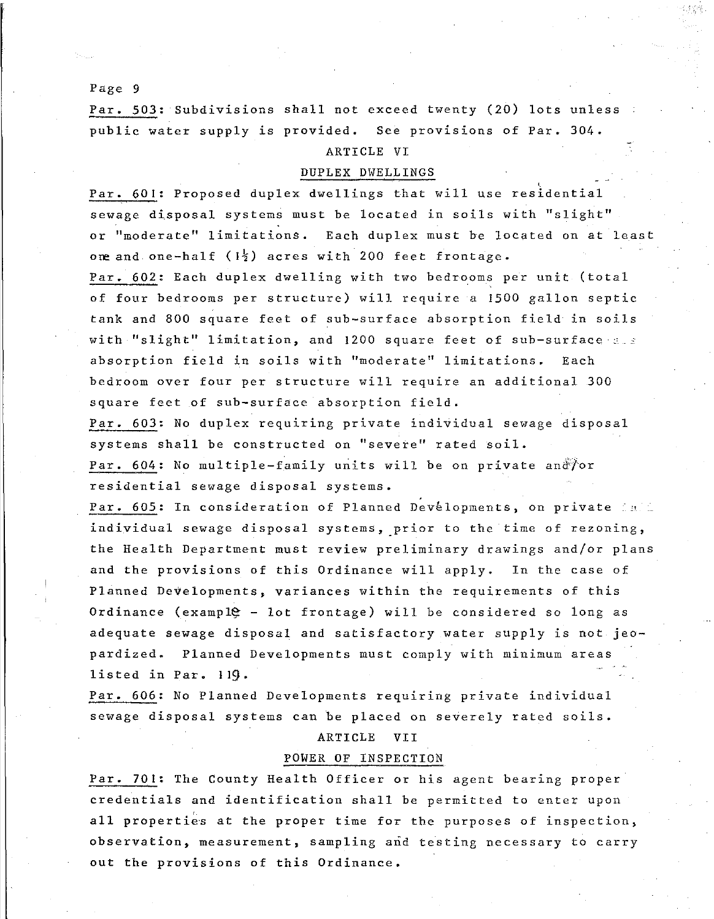Par. 503: Subdivisions shall not exceed twenty (20) lots unless public water supply is provided. See provisions of Par. 304.

# ARTICLE VI

# DUPLEX DWELLINGS

Par. 601: Proposed duplex dwellings that will use residential sewage disposal systems must be located in soils with ''slight" or ''moderate'' limitations. Each duplex must be located on at least one and one-half  $(1\frac{1}{2})$  acres with 200 feet frontage.

Par. 602: Each duplex dwelling with two bedrooms per unit (total of four bedrooms per structure) will require a 1500 gallon septic tank and 800 square feet of sub-surface absorption field in soils with "slight" limitation, and 1200 square feet of sub-surface and absorption field in soils with ''moderate'' limitations. Each bedroom over four per structure will require an additional 300 square feet of sub-surface absorption field.

Par. 603: No duplex requiring private individual sewage disposal systems shall be constructed on ''severe'' rated soil.

Par. 604: No multiple-family units will be on private and for residential sewage disposal systems.

Par. 605: In consideration of Planned Developments, on private fait individual sewage disposal systems, prior to the time of rezoning, the Health Department must review preliminary drawings and/or plans and the provisions of this Ordinance will apply. In the case of Planned Developments, variances within the requirements of this Ordinance (exampl $e -$  lot frontage) will be considered so long as adequate sewage disposal and satisfactory water supply is not jeopardized. Planned Developments must comply with minimum areas listed in Par. I 19.

Par. 606: No Planned Developments requiring private individual sewage disposal systems can be placed on severely rated soils.

ARTICLE VII

## POWER OF INSPECTION

Par. 701: The County Health Officer or his agent bearing proper credentials and identification shall be permitted to enter upon all properties at the proper time for the purposes of inspection, observation, measurement, sampling and testing necessary to carry out the provisions of this Ordinance.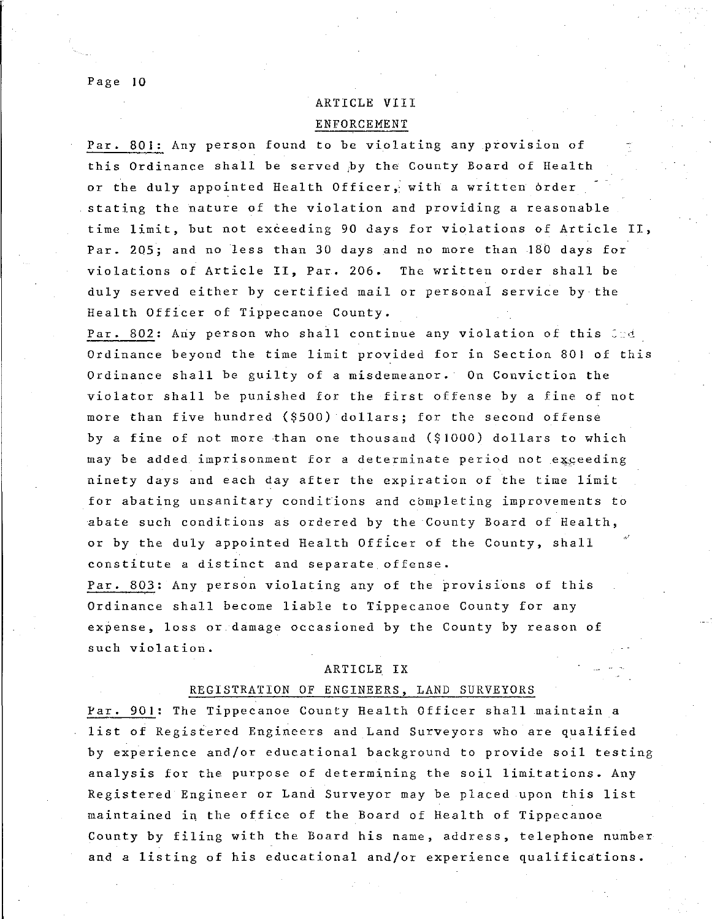# ARTICLE VIII ENFORCEMENT

Par. 801: Any person found to be violating any provision of this Ordinance shall be served by the County Board of Health or the duly appointed Health Officer; with a written 6rder stating the nature of the violation and providing a reasonable time limit, but not exceeding 90 days for violations of Article II, Par. 205; and no less than 30 days and no more than 18D days for violations of Article II, Par. 206. The written order shall be duly served either by certified mail or personal service by the Health Officer of Tippecanoe County.

Par. 802: Any person who shall continue any violation of this and Ordinance beyond the time limit provided for in Section 801 of this Ordinance shall be guilty of a misdemeanor. On Conviction the violator shall be punished for the first offense by a fine of not more than five hundred (\$500) dollars; for the second offense by a fine of not more than one thousand (\$1000) dollars to which may be added imprisonment for a determinate period not exceeding ninety days and each day after the expiration of the time limit for abating unsanitary conditions and cbmpleting improvements to abate such conditions as ordered by the County Board of Health, or by the duly appointed Health Officer of the County, shall **constitute a distinct and separate offense.**  ,,

Par. 803: Any person violating any of the provisions of this Ordinance shall become liable to Tippecanoe County for any expense, loss or damage occasioned by the County by reason of such violation.

## ARTICLE IX

## REGISTRATION OF ENGINEERS, LAND SURVEYORS

Par. 901: The Tippecanoe County Health Officer shall maintain a list of Registered Engineers and Land Surveyors who are qualified by experience and/or educational background to provide soil testing analysis for the purpose of determining the soil limitations. Any Registered Engineer or Land Surveyor may be placed upon this list maintained in the office of the Board of Health of Tippecanoe County by filing with the Board his name, address, telephone number and a listing of his educational and/or experience qualifications.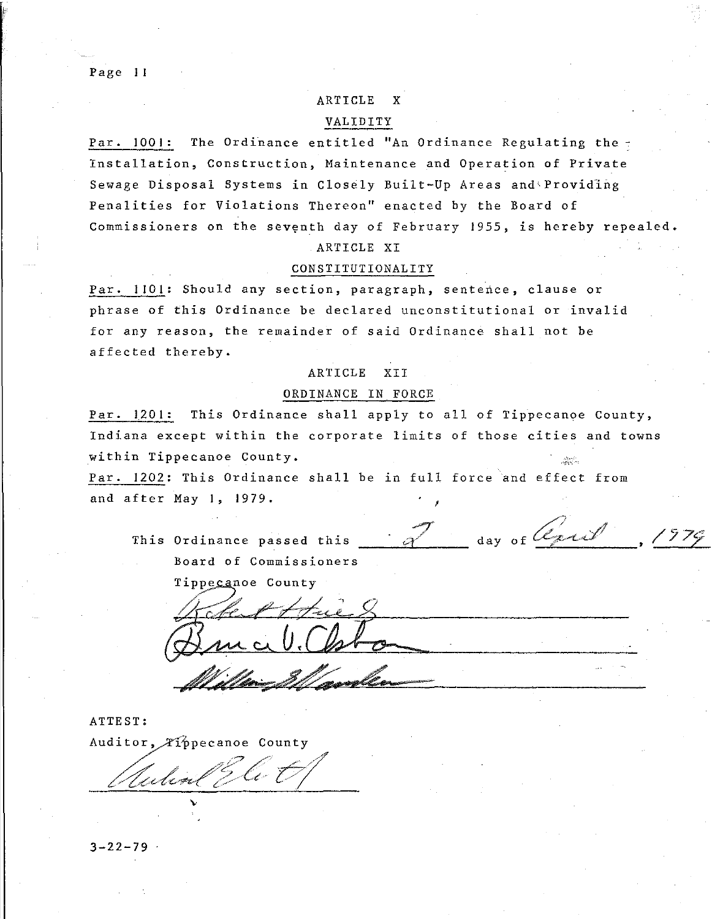Page II

# ARTICLE X

## VALIDITY

Par. 1001: The Ordinance entitled "An Ordinance Regulating the -Installation, Construction, Maintenance and Operation of Private Sewage Disposal Systems in Closely Built-Up Areas and'Providlng Penalities for Violations Thereon'' enacted by the Board of Commissioners on the seventh day of February 1955, is hereby repealed.

# ARTICLE XI

# CONSTITUTIONALITY

Par. **1101:** Should any section, paragraph, sentence, clause or phrase of this Ordinance be declared unconstitutional or invalid for any reason, the remainder of said Ordinance shall not be affected thereby.

## ARTICLE XII

#### ORDINANCE IN FORCE

Par. 1201: This Ordinance shall apply to all of Tippecanoe County, Indiana except within the corporate limits of those cities and towns within Tippecanoe County. '~\';. Par. 1202: This Ordinance shall be in full force and effect from

and after May I, 1979.

This Ordinance passed this **Board of Commissioners**  aniika<br>.<br>. **&l"**  day of *daril* 

;

Tippecanoe County

 $\#$ 

ATTEST: Auditor, Tippecanoe County  $\ell$  , and the same of  $\ell$  $\frac{1}{\sqrt{1-\frac{1}{n}}}\int_{\mathcal{C}}\sqrt{\frac{1}{n}}\int_{\mathcal{C}}\sqrt{\frac{1}{n}}$ 

...

 $3 - 22 - 79$